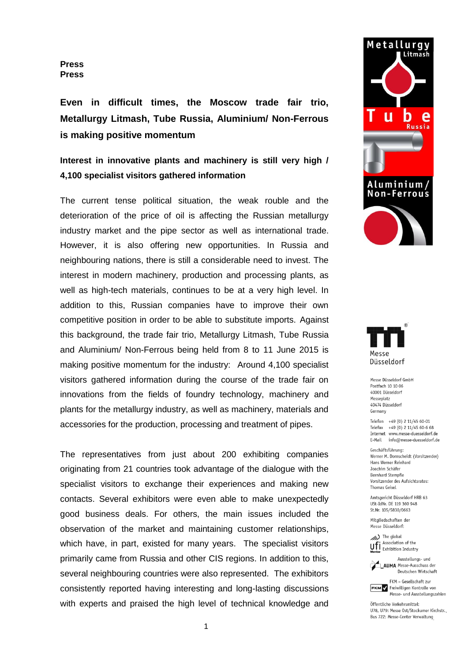**Press Press**

**Even in difficult times, the Moscow trade fair trio, Metallurgy Litmash, Tube Russia, Aluminium/ Non-Ferrous is making positive momentum**

**Interest in innovative plants and machinery is still very high / 4,100 specialist visitors gathered information**

The current tense political situation, the weak rouble and the deterioration of the price of oil is affecting the Russian metallurgy industry market and the pipe sector as well as international trade. However, it is also offering new opportunities. In Russia and neighbouring nations, there is still a considerable need to invest. The interest in modern machinery, production and processing plants, as well as high-tech materials, continues to be at a very high level. In addition to this, Russian companies have to improve their own competitive position in order to be able to substitute imports. Against this background, the trade fair trio, Metallurgy Litmash, Tube Russia and Aluminium/ Non-Ferrous being held from 8 to 11 June 2015 is making positive momentum for the industry: Around 4,100 specialist visitors gathered information during the course of the trade fair on innovations from the fields of foundry technology, machinery and plants for the metallurgy industry, as well as machinery, materials and accessories for the production, processing and treatment of pipes.

The representatives from just about 200 exhibiting companies originating from 21 countries took advantage of the dialogue with the specialist visitors to exchange their experiences and making new contacts. Several exhibitors were even able to make unexpectedly good business deals. For others, the main issues included the observation of the market and maintaining customer relationships, which have, in part, existed for many years. The specialist visitors primarily came from Russia and other CIS regions. In addition to this, several neighbouring countries were also represented. The exhibitors consistently reported having interesting and long-lasting discussions with experts and praised the high level of technical knowledge and





Messe Düsseldorf GmbH Postfach 10 10 06 40001 Düsseldorf Messeplatz 40474 Düsseldorf Germany

Telefon +49 (0) 2 11/45 60-01 Telefax +49 (0) 2 11/45 60-6 68 Internet www.messe-duesseldorf.de E-Mail info@messe-duesseldorf.de

Geschäftsführung: Werner M. Dornscheidt (Vorsitzender) Hans Werner Reinhard Joachim Schäfer **Bernhard Stempfle** Vorsitzender des Aufsichtsrates: Thomas Geisel

Amtsgericht Düsseldorf HRB 63 USt-IdNr. DE 119 360 948 St.Nr. 105/5830/0663

Mitgliedschaften der Messe Düsseldorf:





Ausstellungs- und **AUMA** Messe-Ausschuss der Deutschen Wirtschaft

FKM - Gesellschaft zur **FKM** / Freiwilligen Kontrolle von Messe- und Ausstellungszahlen

Öffentliche Verkehrsmittel: 1178 1179: Messe Ost/Stockumer Kirchstr. Bus 722: Messe-Center Verwaltung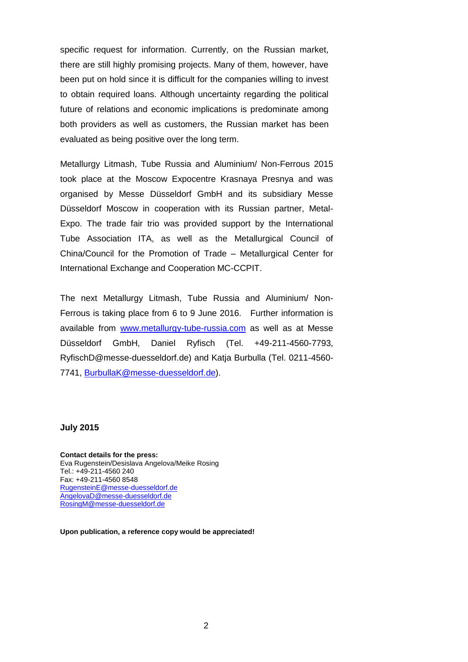specific request for information. Currently, on the Russian market, there are still highly promising projects. Many of them, however, have been put on hold since it is difficult for the companies willing to invest to obtain required loans. Although uncertainty regarding the political future of relations and economic implications is predominate among both providers as well as customers, the Russian market has been evaluated as being positive over the long term.

Metallurgy Litmash, Tube Russia and Aluminium/ Non-Ferrous 2015 took place at the Moscow Expocentre Krasnaya Presnya and was organised by Messe Düsseldorf GmbH and its subsidiary Messe Düsseldorf Moscow in cooperation with its Russian partner, Metal-Expo. The trade fair trio was provided support by the International Tube Association ITA, as well as the [Metallurgical Council of](http://www.google.de/url?sa=t&rct=j&q=mc-ccpit&source=web&cd=1&ved=0CFcQFjAA&url=http://www.mc-ccpit.com/en/index.asp&ei=C5D1T6LBB4nP4QSYwPXWBg&usg=AFQjCNGMdYhq9FvT8FocSyrjIxowIWpegg&cad=rja)  [China/Council for the Promotion](http://www.google.de/url?sa=t&rct=j&q=mc-ccpit&source=web&cd=1&ved=0CFcQFjAA&url=http://www.mc-ccpit.com/en/index.asp&ei=C5D1T6LBB4nP4QSYwPXWBg&usg=AFQjCNGMdYhq9FvT8FocSyrjIxowIWpegg&cad=rja) of Trade – Metallurgical Center for International Exchange and Cooperation MC-CCPIT.

The next Metallurgy Litmash, Tube Russia and Aluminium/ Non-Ferrous is taking place from 6 to 9 June 2016. Further information is available from [www.metallurgy-tube-russia.com](http://www.metallurgy-tube-russia.com/) as well as at Messe Düsseldorf GmbH, Daniel Ryfisch (Tel. +49-211-4560-7793, RyfischD@messe-duesseldorf.de) and Katja Burbulla (Tel. 0211-4560- 7741, [BurbullaK@messe-duesseldorf.de\)](mailto:BurbullaK@messe-duesseldorf.de).

#### **July 2015**

**Contact details for the press:** Eva Rugenstein/Desislava Angelova/Meike Rosing Tel.: +49-211-4560 240 Fax: +49-211-4560 8548 [RugensteinE@messe-duesseldorf.de](mailto:RugensteinE@messe-duesseldorf.de) [AngelovaD@messe-duesseldorf.de](mailto:AngelovaD@messe-duesseldorf.de) [RosingM@messe-duesseldorf.de](mailto:RosingM@messe-duesseldorf.de)

**Upon publication, a reference copy would be appreciated!**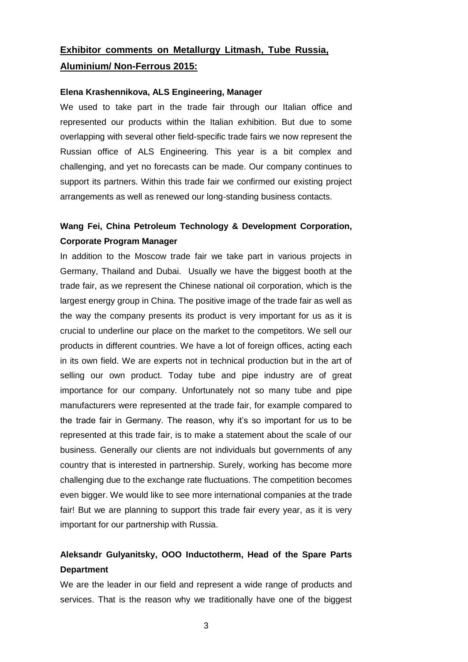# **Exhibitor comments on Metallurgy Litmash, Tube Russia, Aluminium/ Non-Ferrous 2015:**

#### **Elena Krashennikova, ALS Engineering, Manager**

We used to take part in the trade fair through our Italian office and represented our products within the Italian exhibition. But due to some overlapping with several other field-specific trade fairs we now represent the Russian office of ALS Engineering. This year is a bit complex and challenging, and yet no forecasts can be made. Our company continues to support its partners. Within this trade fair we confirmed our existing project arrangements as well as renewed our long-standing business contacts.

### **Wang Fei, China Petroleum Technology & Development Corporation, Corporate Program Manager**

In addition to the Moscow trade fair we take part in various projects in Germany, Thailand and Dubai. Usually we have the biggest booth at the trade fair, as we represent the Chinese national oil corporation, which is the largest energy group in China. The positive image of the trade fair as well as the way the company presents its product is very important for us as it is crucial to underline our place on the market to the competitors. We sell our products in different countries. We have a lot of foreign offices, acting each in its own field. We are experts not in technical production but in the art of selling our own product. Today tube and pipe industry are of great importance for our company. Unfortunately not so many tube and pipe manufacturers were represented at the trade fair, for example compared to the trade fair in Germany. The reason, why it's so important for us to be represented at this trade fair, is to make a statement about the scale of our business. Generally our clients are not individuals but governments of any country that is interested in partnership. Surely, working has become more challenging due to the exchange rate fluctuations. The competition becomes even bigger. We would like to see more international companies at the trade fair! But we are planning to support this trade fair every year, as it is very important for our partnership with Russia.

## **Aleksandr Gulyanitsky, OOO Inductotherm, Head of the Spare Parts Department**

We are the leader in our field and represent a wide range of products and services. That is the reason why we traditionally have one of the biggest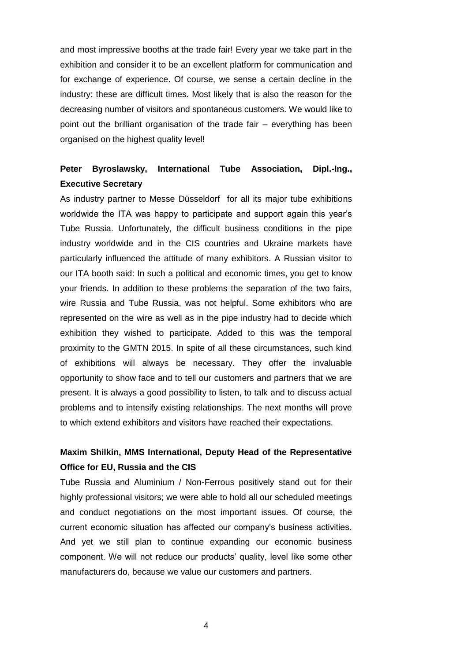and most impressive booths at the trade fair! Every year we take part in the exhibition and consider it to be an excellent platform for communication and for exchange of experience. Of course, we sense a certain decline in the industry: these are difficult times. Most likely that is also the reason for the decreasing number of visitors and spontaneous customers. We would like to point out the brilliant organisation of the trade fair – everything has been organised on the highest quality level!

### **Peter Byroslawsky, International Tube Association, Dipl.-Ing., Executive Secretary**

As industry partner to Messe Düsseldorf for all its major tube exhibitions worldwide the ITA was happy to participate and support again this year's Tube Russia. Unfortunately, the difficult business conditions in the pipe industry worldwide and in the CIS countries and Ukraine markets have particularly influenced the attitude of many exhibitors. A Russian visitor to our ITA booth said: In such a political and economic times, you get to know your friends. In addition to these problems the separation of the two fairs, wire Russia and Tube Russia, was not helpful. Some exhibitors who are represented on the wire as well as in the pipe industry had to decide which exhibition they wished to participate. Added to this was the temporal proximity to the GMTN 2015. In spite of all these circumstances, such kind of exhibitions will always be necessary. They offer the invaluable opportunity to show face and to tell our customers and partners that we are present. It is always a good possibility to listen, to talk and to discuss actual problems and to intensify existing relationships. The next months will prove to which extend exhibitors and visitors have reached their expectations.

#### **Maxim Shilkin, MMS International, Deputy Head of the Representative Office for EU, Russia and the CIS**

Tube Russia and Aluminium / Non-Ferrous positively stand out for their highly professional visitors; we were able to hold all our scheduled meetings and conduct negotiations on the most important issues. Of course, the current economic situation has affected our company's business activities. And yet we still plan to continue expanding our economic business component. We will not reduce our products' quality, level like some other manufacturers do, because we value our customers and partners.